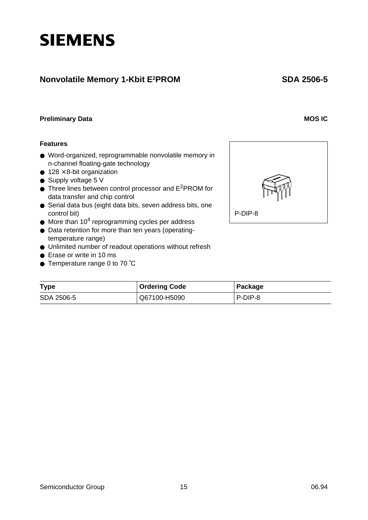# **Features** ● Word-organized, reprogrammable nonvolatile memory in

- n-channel floating-gate technology
- $\bullet$  128  $\times$  8-bit organization

**SIEMENS** 

- Supply voltage 5 V
- Three lines between control processor and E<sup>2</sup>PROM for data transfer and chip control
- Serial data bus (eight data bits, seven address bits, one control bit)
- $\bullet$  More than 10<sup>4</sup> reprogramming cycles per address
- Data retention for more than ten years (operatingtemperature range)
- Unlimited number of readout operations without refresh
- Erase or write in 10 ms
- Temperature range 0 to 70 ℃



| <b>Type</b> | <b>Ordering Code</b> | Package |
|-------------|----------------------|---------|
| SDA 2506-5  | Q67100-H5090         | P-DIP-8 |

 **SDA 2506-5**

**Nonvolatile Memory 1-Kbit E2PROM**

**Preliminary Data** MOS IC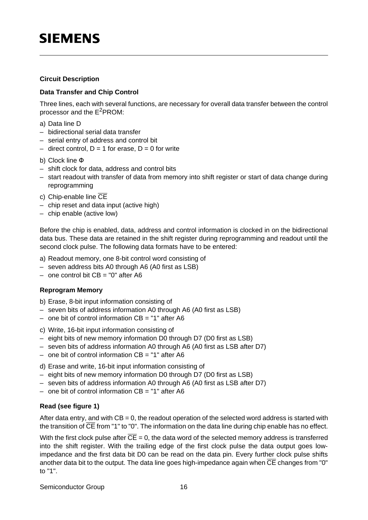### **Circuit Description**

### **Data Transfer and Chip Control**

Three lines, each with several functions, are necessary for overall data transfer between the control processor and the E2PROM:

- a) Data line D
- bidirectional serial data transfer
- serial entry of address and control bit
- direct control,  $D = 1$  for erase,  $D = 0$  for write
- b) Clock line Φ
- shift clock for data, address and control bits
- start readout with transfer of data from memory into shift register or start of data change during reprogramming
- c) Chip-enable line CE
- chip reset and data input (active high)
- chip enable (active low)

Before the chip is enabled, data, address and control information is clocked in on the bidirectional data bus. These data are retained in the shift register during reprogramming and readout until the second clock pulse. The following data formats have to be entered:

- a) Readout memory, one 8-bit control word consisting of
- seven address bits A0 through A6 (A0 first as LSB)
- $-$  one control bit  $CB = "0"$  after A6

### **Reprogram Memory**

- b) Erase, 8-bit input information consisting of
- seven bits of address information A0 through A6 (A0 first as LSB)
- $-$  one bit of control information  $CB = "1"$  after A6
- c) Write, 16-bit input information consisting of
- eight bits of new memory information D0 through D7 (D0 first as LSB)
- seven bits of address information A0 through A6 (A0 first as LSB after D7)
- $-$  one bit of control information  $CB = "1"$  after A6
- d) Erase and write, 16-bit input information consisting of
- eight bits of new memory information D0 through D7 (D0 first as LSB)
- seven bits of address information A0 through A6 (A0 first as LSB after D7)
- $-$  one bit of control information  $CB = "1"$  after A6

### **Read (see figure 1)**

After data entry, and with  $CB = 0$ , the readout operation of the selected word address is started with the transition of  $\overline{\text{CE}}$  from "1" to "0". The information on the data line during chip enable has no effect.

With the first clock pulse after  $\overline{CE} = 0$ , the data word of the selected memory address is transferred into the shift register. With the trailing edge of the first clock pulse the data output goes lowimpedance and the first data bit D0 can be read on the data pin. Every further clock pulse shifts another data bit to the output. The data line goes high-impedance again when CE changes from "0" to "1".

Semiconductor Group 16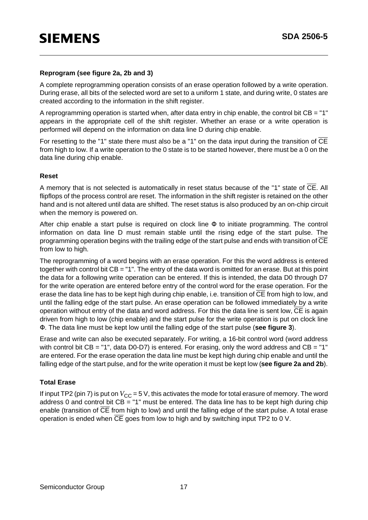### **Reprogram (see figure 2a, 2b and 3)**

A complete reprogramming operation consists of an erase operation followed by a write operation. During erase, all bits of the selected word are set to a uniform 1 state, and during write, 0 states are created according to the information in the shift register.

A reprogramming operation is started when, after data entry in chip enable, the control bit  $CB = "1"$ appears in the appropriate cell of the shift register. Whether an erase or a write operation is performed will depend on the information on data line D during chip enable.

For resetting to the "1" state there must also be a "1" on the data input during the transition of  $\overline{\text{CE}}$ from high to low. If a write operation to the 0 state is to be started however, there must be a 0 on the data line during chip enable.

#### **Reset**

A memory that is not selected is automatically in reset status because of the "1" state of  $\overline{\text{CE}}$ . All flipflops of the process control are reset. The information in the shift register is retained on the other hand and is not altered until data are shifted. The reset status is also produced by an on-chip circuit when the memory is powered on.

After chip enable a start pulse is required on clock line  $\Phi$  to initiate programming. The control information on data line D must remain stable until the rising edge of the start pulse. The programming operation begins with the trailing edge of the start pulse and ends with transition of CE from low to high.

The reprogramming of a word begins with an erase operation. For this the word address is entered together with control bit CB = "1". The entry of the data word is omitted for an erase. But at this point the data for a following write operation can be entered. If this is intended, the data D0 through D7 for the write operation are entered before entry of the control word for the erase operation. For the erase the data line has to be kept high during chip enable, i.e. transition of CE from high to low, and until the falling edge of the start pulse. An erase operation can be followed immediately by a write operation without entry of the data and word address. For this the data line is sent low, CE is again driven from high to low (chip enable) and the start pulse for the write operation is put on clock line Φ. The data line must be kept low until the falling edge of the start pulse (**see figure 3**).

Erase and write can also be executed separately. For writing, a 16-bit control word (word address with control bit  $CB = "1"$ , data D0-D7) is entered. For erasing, only the word address and  $CB = "1"$ are entered. For the erase operation the data line must be kept high during chip enable and until the falling edge of the start pulse, and for the write operation it must be kept low (**see figure 2a and 2b**).

### **Total Erase**

If input TP2 (pin 7) is put on  $V_{CC}$  = 5 V, this activates the mode for total erasure of memory. The word address 0 and control bit  $CB = "1"$  must be entered. The data line has to be kept high during chip enable (transition of  $\overline{\text{CE}}$  from high to low) and until the falling edge of the start pulse. A total erase operation is ended when CE goes from low to high and by switching input TP2 to 0 V.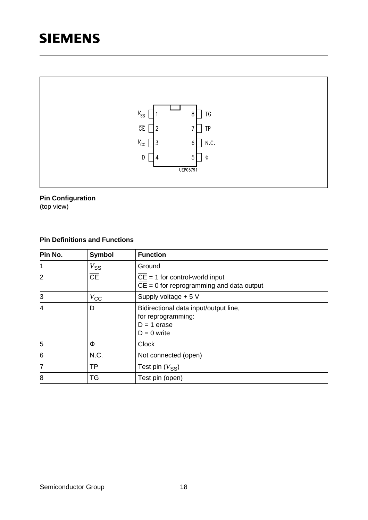

### **Pin Configuration**

(top view)

# **Pin Definitions and Functions**

| Pin No.        | <b>Symbol</b>                     | <b>Function</b>                                                                               |
|----------------|-----------------------------------|-----------------------------------------------------------------------------------------------|
| 1              | $V_{\text{SS}}$                   | Ground                                                                                        |
| 2              | $\overline{\overline{\text{CE}}}$ | $CE = 1$ for control-world input<br>$\overline{CE}$ = 0 for reprogramming and data output     |
| 3              | $V_{\rm CC}$                      | Supply voltage + 5 V                                                                          |
| $\overline{4}$ | D                                 | Bidirectional data input/output line,<br>for reprogramming:<br>$D = 1$ erase<br>$D = 0$ write |
| 5              | Ф                                 | <b>Clock</b>                                                                                  |
| 6              | N.C.                              | Not connected (open)                                                                          |
| $\overline{7}$ | <b>TP</b>                         | Test pin $(V_{SS})$                                                                           |
| 8              | TG                                | Test pin (open)                                                                               |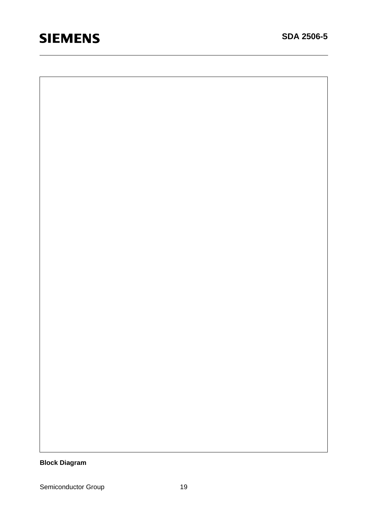**Block Diagram**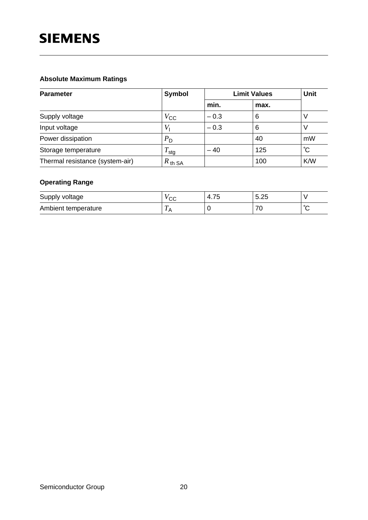# **Absolute Maximum Ratings**

| <b>Parameter</b>                | <b>Symbol</b>      | <b>Limit Values</b> | Unit |     |
|---------------------------------|--------------------|---------------------|------|-----|
|                                 |                    | min.                | max. |     |
| Supply voltage                  | $V_{\rm CC}$       | $-0.3$              | 6    |     |
| Input voltage                   | V                  | $-0.3$              | 6    |     |
| Power dissipation               | $P_{\mathsf{D}}$   |                     | 40   | mW  |
| Storage temperature             | sta                | $-40$               | 125  | ĈС  |
| Thermal resistance (system-air) | $R_{\text{th SA}}$ |                     | 100  | K/W |

# **Operating Range**

| Supply voltage      | $\sim$<br>◡◡   | 75<br>4.75 | 5.25<br>J.ZJ |        |
|---------------------|----------------|------------|--------------|--------|
| Ambient temperature | $\overline{r}$ |            | 70<br>∼      | $\sim$ |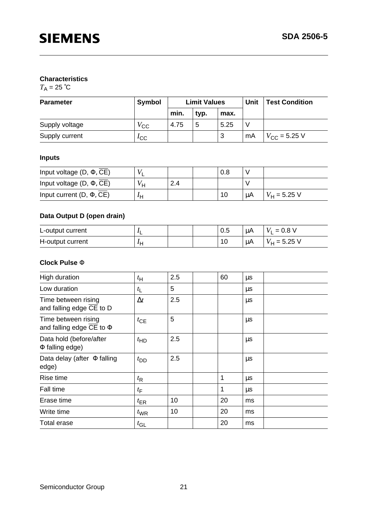## **Characteristics**

 $T_A = 25$  °C

| <b>Parameter</b> | <b>Symbol</b> | <b>Limit Values</b> |      |      | Unit | <b>Test Condition</b> |
|------------------|---------------|---------------------|------|------|------|-----------------------|
|                  |               | min.                | typ. | max. |      |                       |
| Supply voltage   | $V_{\rm CC}$  | 4.75                | 5    | 5.25 |      |                       |
| Supply current   | $I_{\rm CC}$  |                     |      | 3    | mA   | $V_{\rm CC}$ = 5.25 V |

# **Inputs**

| Input voltage $(D, \Phi, CE)$ |    |     | $0.8\,$ |           |                |
|-------------------------------|----|-----|---------|-----------|----------------|
| Input voltage $(D, \Phi, CE)$ | Vц | 2.4 |         |           |                |
| Input current $(D, \Phi, CE)$ | IΗ |     | 10      | <b>μA</b> | $V_H$ = 5.25 V |

# **Data Output D (open drain)**

| L-output current |   |  | U.5 | μA | $= 0.8 V$<br>V |
|------------------|---|--|-----|----|----------------|
| H-output current | п |  | 10  | μA | $V_H = 5.25$ V |

### **Clock Pulse** Φ

| $t_{\rm H}$      | 2.5 | 60 | $\mu$ s |  |
|------------------|-----|----|---------|--|
| $t_{\mathsf{L}}$ | 5   |    | μs      |  |
| $\Delta t$       | 2.5 |    | $\mu$ s |  |
| $t_{CE}$         | 5   |    | $\mu$ s |  |
| $t_{HD}$         | 2.5 |    | $\mu s$ |  |
| $t_{\text{DD}}$  | 2.5 |    | $\mu s$ |  |
| $t_{\mathsf{R}}$ |     | 1  | $\mu$ s |  |
| $t_{\mathsf{F}}$ |     | 1  | μs      |  |
| $t_{\text{ER}}$  | 10  | 20 | ms      |  |
| $t_{\text{WR}}$  | 10  | 20 | ms      |  |
| $t_{\text{GL}}$  |     | 20 | ms      |  |
|                  |     |    |         |  |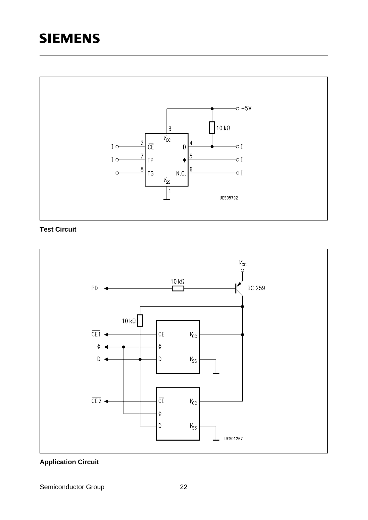

# **Test Circuit**



# **Application Circuit**

Semiconductor Group 22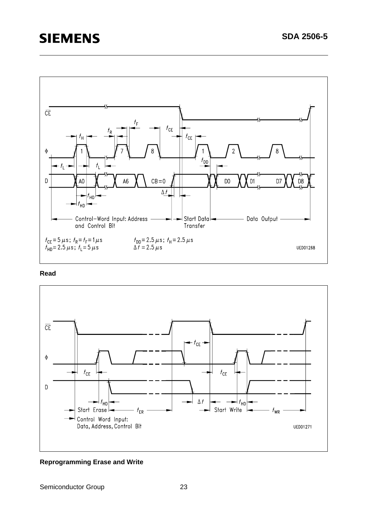

#### **Read**



#### **Reprogramming Erase and Write**